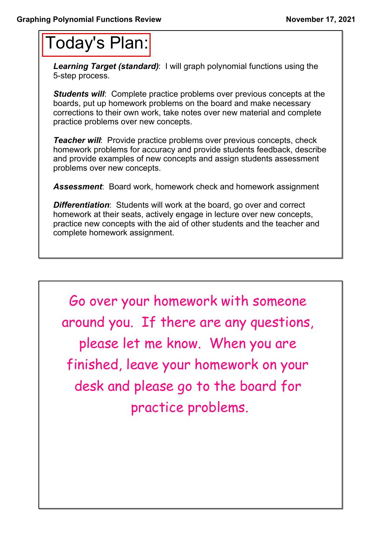## Today's Plan:

*Learning Target (standard)*: I will graph polynomial functions using the 5-step process.

**Students will:** Complete practice problems over previous concepts at the boards, put up homework problems on the board and make necessary corrections to their own work, take notes over new material and complete practice problems over new concepts.

*Teacher will:* Provide practice problems over previous concepts, check homework problems for accuracy and provide students feedback, describe and provide examples of new concepts and assign students assessment problems over new concepts.

*Assessment*: Board work, homework check and homework assignment

*Differentiation*: Students will work at the board, go over and correct homework at their seats, actively engage in lecture over new concepts, practice new concepts with the aid of other students and the teacher and complete homework assignment.

Go over your homework with someone around you. If there are any questions, please let me know. When you are finished, leave your homework on your desk and please go to the board for practice problems.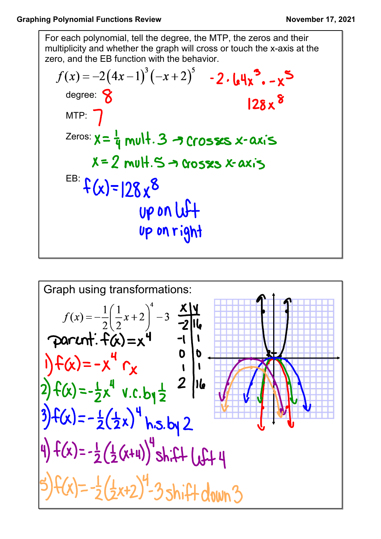For each polynomial, tell the degree, the MTP, the zeros and their multiplicity and whether the graph will cross or touch the x-axis at the zero, and the EB function with the behavior.

$$
f(x) = -2(4x-1)^{3}(-x+2)^{5} - 2.64x^{3} - x^{5}
$$
  
degree: 8  
MTP: 7  
Zeros:  $x = \frac{1}{4}$  mult. 3  $\rightarrow$  Crosss x-axis  
 $x = 2$  mult. 5  $\rightarrow$  cross as x-axis  
EB:  $f(x)=|28x^{8}$   
UP on U<sup>2</sup>+  
UP on Tight

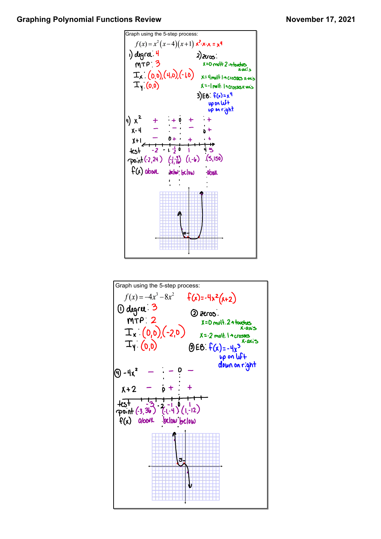## Graphing Polynomial Functions Review **November 17, 2021**